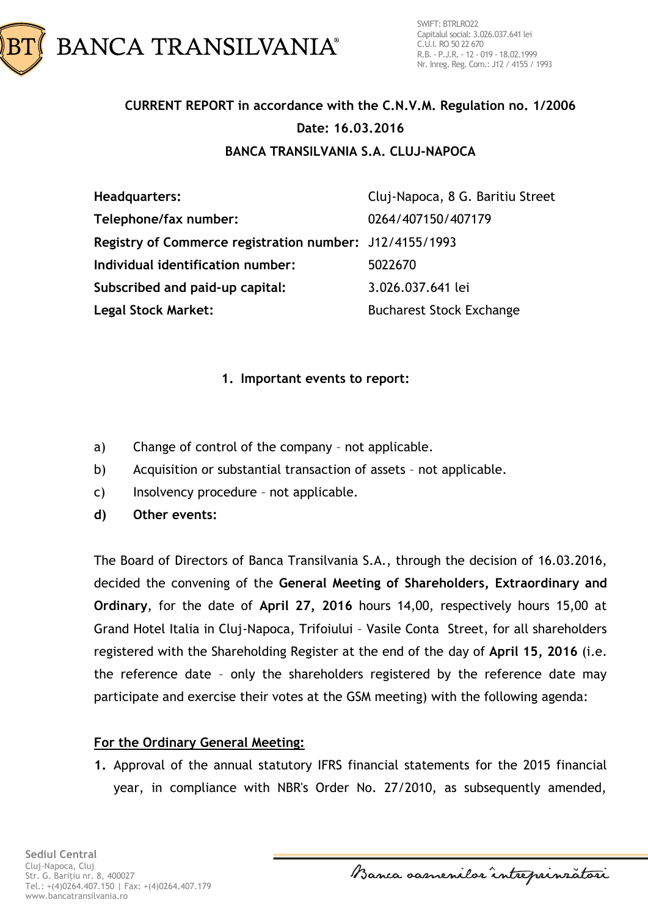

# **CURRENT REPORT in accordance with the C.N.V.M. Regulation no. 1/2006 Date: 16.03.2016 BANCA TRANSILVANIA S.A. CLUJ-NAPOCA**

**Headquarters:** Cluj-Napoca, 8 G. Baritiu Street **Telephone/fax number:** 0264/407150/407179 **Registry of Commerce registration number:** J12/4155/1993 **Individual identification number:** 5022670 **Subscribed and paid-up capital:** 3.026.037.641 lei **Legal Stock Market:** Bucharest Stock Exchange

#### **1. Important events to report:**

- a) Change of control of the company not applicable.
- b) Acquisition or substantial transaction of assets not applicable.
- c) Insolvency procedure not applicable.
- **d) Other events:**

The Board of Directors of Banca Transilvania S.A., through the decision of 16.03.2016, decided the convening of the **General Meeting of Shareholders, Extraordinary and Ordinary**, for the date of **April 27, 2016** hours 14,00, respectively hours 15,00 at Grand Hotel Italia in Cluj-Napoca, Trifoiului – Vasile Conta Street, for all shareholders registered with the Shareholding Register at the end of the day of **April 15, 2016** (i.e. the reference date – only the shareholders registered by the reference date may participate and exercise their votes at the GSM meeting) with the following agenda:

### **For the Ordinary General Meeting:**

**1.** Approval of the annual statutory IFRS financial statements for the 2015 financial year, in compliance with NBR's Order No. 27/2010, as subsequently amended,

Banca samenilar intreprinzatori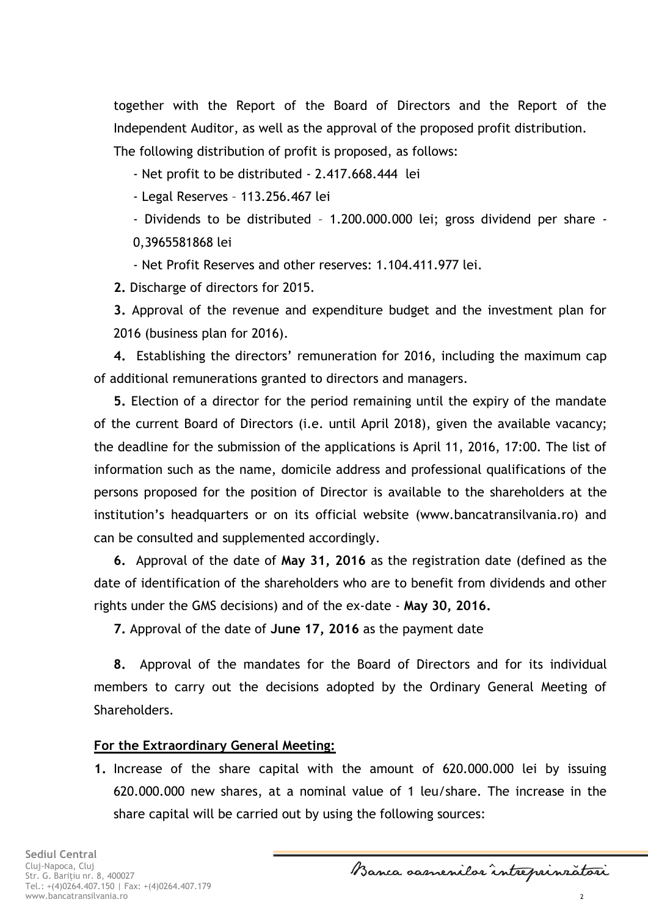together with the Report of the Board of Directors and the Report of the Independent Auditor, as well as the approval of the proposed profit distribution.

The following distribution of profit is proposed, as follows:

- Net profit to be distributed - 2.417.668.444 lei

- Legal Reserves – 113.256.467 lei

- Dividends to be distributed – 1.200.000.000 lei; gross dividend per share -

0,3965581868 lei

- Net Profit Reserves and other reserves: 1.104.411.977 lei.

**2.** Discharge of directors for 2015.

**3.** Approval of the revenue and expenditure budget and the investment plan for 2016 (business plan for 2016).

**4.** Establishing the directors' remuneration for 2016, including the maximum cap of additional remunerations granted to directors and managers.

**5.** Election of a director for the period remaining until the expiry of the mandate of the current Board of Directors (i.e. until April 2018), given the available vacancy; the deadline for the submission of the applications is April 11, 2016, 17:00. The list of information such as the name, domicile address and professional qualifications of the persons proposed for the position of Director is available to the shareholders at the institution's headquarters or on its official website (www.bancatransilvania.ro) and can be consulted and supplemented accordingly.

**6.** Approval of the date of **May 31, 2016** as the registration date (defined as the date of identification of the shareholders who are to benefit from dividends and other rights under the GMS decisions) and of the ex-date - **May 30, 2016.**

**7.** Approval of the date of **June 17, 2016** as the payment date

**8.** Approval of the mandates for the Board of Directors and for its individual members to carry out the decisions adopted by the Ordinary General Meeting of Shareholders.

## **For the Extraordinary General Meeting:**

**1.** Increase of the share capital with the amount of 620.000.000 lei by issuing 620.000.000 new shares, at a nominal value of 1 leu/share. The increase in the share capital will be carried out by using the following sources:

Banca samenilar intreprinzatori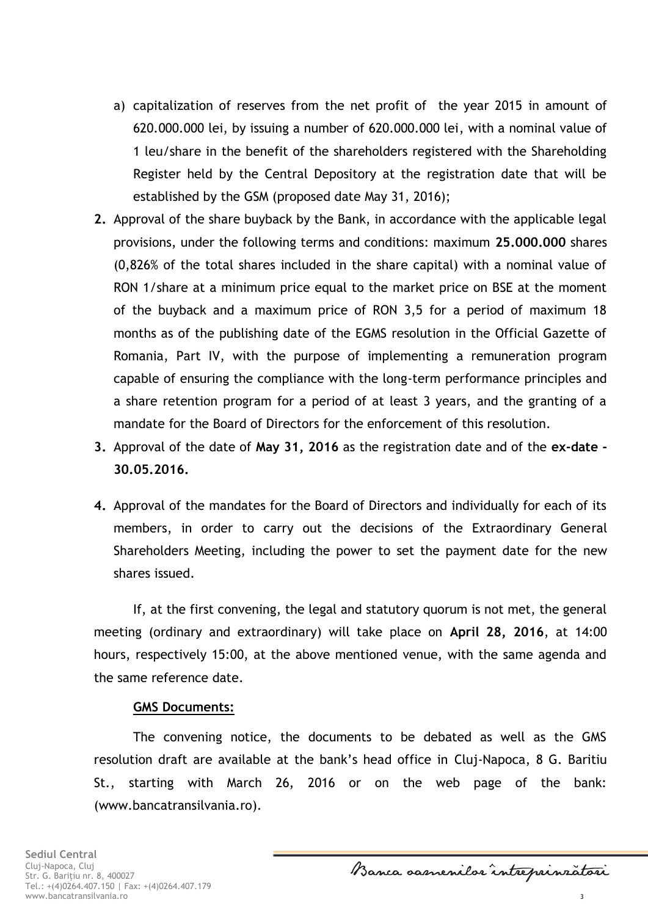- a) capitalization of reserves from the net profit of the year 2015 in amount of 620.000.000 lei, by issuing a number of 620.000.000 lei, with a nominal value of 1 leu/share in the benefit of the shareholders registered with the Shareholding Register held by the Central Depository at the registration date that will be established by the GSM (proposed date May 31, 2016);
- **2.** Approval of the share buyback by the Bank, in accordance with the applicable legal provisions, under the following terms and conditions: maximum **25.000.000** shares (0,826% of the total shares included in the share capital) with a nominal value of RON 1/share at a minimum price equal to the market price on BSE at the moment of the buyback and a maximum price of RON 3,5 for a period of maximum 18 months as of the publishing date of the EGMS resolution in the Official Gazette of Romania, Part IV, with the purpose of implementing a remuneration program capable of ensuring the compliance with the long-term performance principles and a share retention program for a period of at least 3 years, and the granting of a mandate for the Board of Directors for the enforcement of this resolution.
- **3.** Approval of the date of **May 31, 2016** as the registration date and of the **ex-date - 30.05.2016.**
- **4.** Approval of the mandates for the Board of Directors and individually for each of its members, in order to carry out the decisions of the Extraordinary General Shareholders Meeting, including the power to set the payment date for the new shares issued.

If, at the first convening, the legal and statutory quorum is not met, the general meeting (ordinary and extraordinary) will take place on **April 28, 2016**, at 14:00 hours, respectively 15:00, at the above mentioned venue, with the same agenda and the same reference date.

#### **GMS Documents:**

The convening notice, the documents to be debated as well as the GMS resolution draft are available at the bank's head office in Cluj-Napoca, 8 G. Baritiu St., starting with March 26, 2016 or on the web page of the bank: (www.bancatransilvania.ro).

Banca samenilar intreprinzatori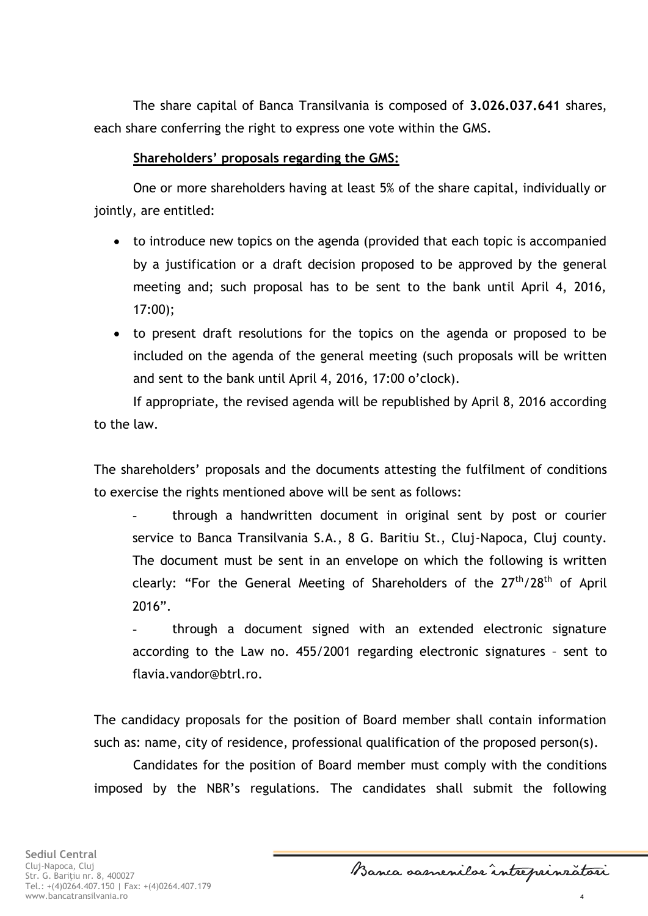The share capital of Banca Transilvania is composed of **3.026.037.641** shares, each share conferring the right to express one vote within the GMS.

#### **Shareholders' proposals regarding the GMS:**

One or more shareholders having at least 5% of the share capital, individually or jointly, are entitled:

- to introduce new topics on the agenda (provided that each topic is accompanied by a justification or a draft decision proposed to be approved by the general meeting and; such proposal has to be sent to the bank until April 4, 2016, 17:00);
- to present draft resolutions for the topics on the agenda or proposed to be included on the agenda of the general meeting (such proposals will be written and sent to the bank until April 4, 2016, 17:00 o'clock).

If appropriate, the revised agenda will be republished by April 8, 2016 according to the law.

The shareholders' proposals and the documents attesting the fulfilment of conditions to exercise the rights mentioned above will be sent as follows:

through a handwritten document in original sent by post or courier service to Banca Transilvania S.A., 8 G. Baritiu St., Cluj-Napoca, Cluj county. The document must be sent in an envelope on which the following is written clearly: "For the General Meeting of Shareholders of the 27<sup>th</sup>/28<sup>th</sup> of April 2016".

- through a document signed with an extended electronic signature according to the Law no. 455/2001 regarding electronic signatures – sent to flavia.vandor@btrl.ro.

The candidacy proposals for the position of Board member shall contain information such as: name, city of residence, professional qualification of the proposed person(s).

Candidates for the position of Board member must comply with the conditions imposed by the NBR's regulations. The candidates shall submit the following

Banca samenilar intreprinzatori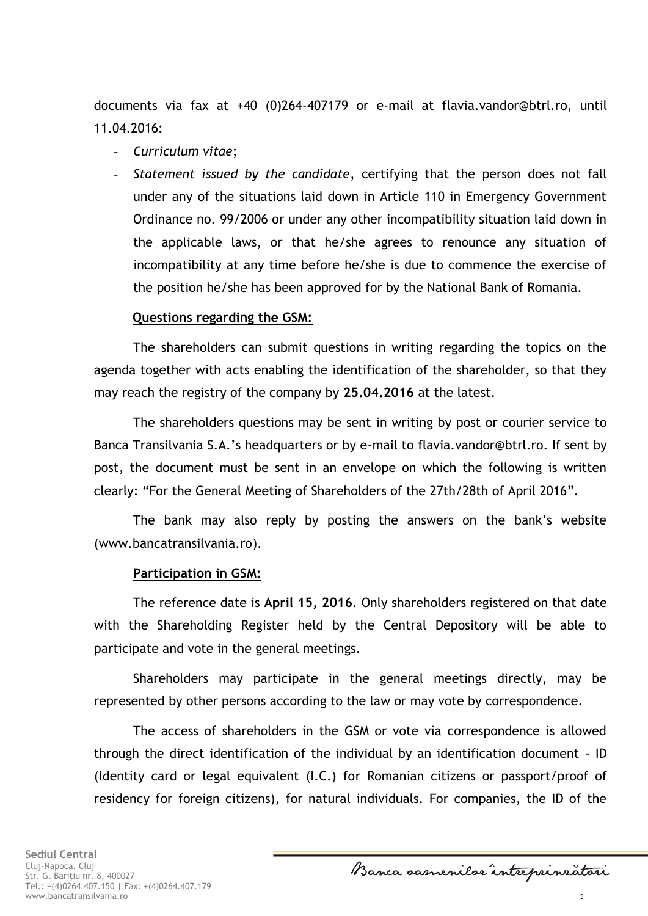documents via fax at +40 (0)264-407179 or e-mail at [flavia.vandor@btrl.ro,](mailto:flavia.vandor@btrl.ro) until 11.04.2016:

- *Curriculum vitae*;
- *Statement issued by the candidate*, certifying that the person does not fall under any of the situations laid down in Article 110 in Emergency Government Ordinance no. 99/2006 or under any other incompatibility situation laid down in the applicable laws, or that he/she agrees to renounce any situation of incompatibility at any time before he/she is due to commence the exercise of the position he/she has been approved for by the National Bank of Romania.

#### **Questions regarding the GSM:**

The shareholders can submit questions in writing regarding the topics on the agenda together with acts enabling the identification of the shareholder, so that they may reach the registry of the company by **25.04.2016** at the latest.

The shareholders questions may be sent in writing by post or courier service to Banca Transilvania S.A.'s headquarters or by e-mail to flavia.vandor@btrl.ro. If sent by post, the document must be sent in an envelope on which the following is written clearly: "For the General Meeting of Shareholders of the 27th/28th of April 2016".

The bank may also reply by posting the answers on the bank's website [\(www.bancatransilvania.ro\)](http://www.bancatransilvania.ro/).

#### **Participation in GSM:**

The reference date is **April 15, 2016**. Only shareholders registered on that date with the Shareholding Register held by the Central Depository will be able to participate and vote in the general meetings.

Shareholders may participate in the general meetings directly, may be represented by other persons according to the law or may vote by correspondence.

The access of shareholders in the GSM or vote via correspondence is allowed through the direct identification of the individual by an identification document - ID (Identity card or legal equivalent (I.C.) for Romanian citizens or passport/proof of residency for foreign citizens), for natural individuals. For companies, the ID of the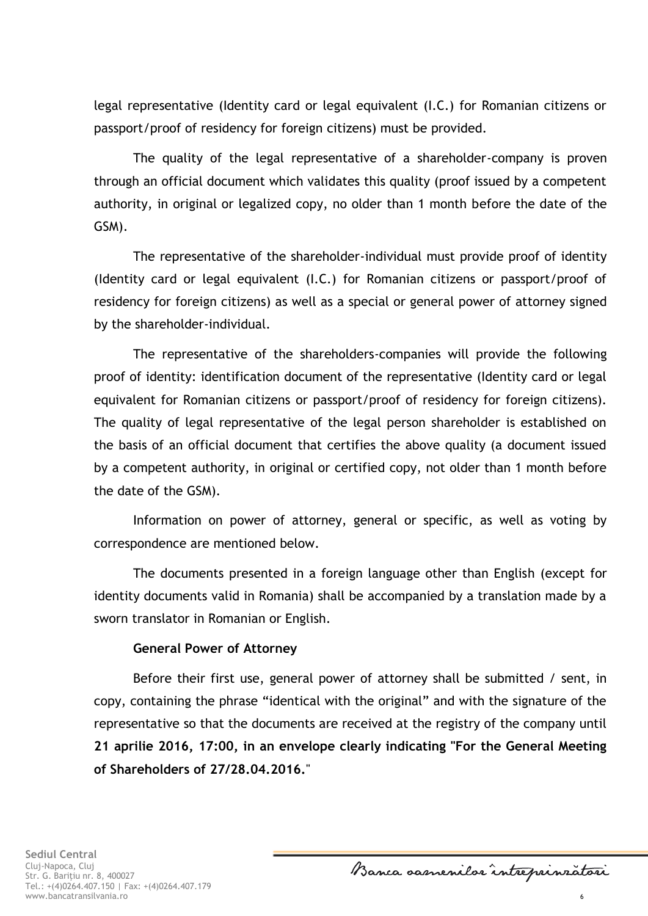legal representative (Identity card or legal equivalent (I.C.) for Romanian citizens or passport/proof of residency for foreign citizens) must be provided.

The quality of the legal representative of a shareholder-company is proven through an official document which validates this quality (proof issued by a competent authority, in original or legalized copy, no older than 1 month before the date of the GSM).

The representative of the shareholder-individual must provide proof of identity (Identity card or legal equivalent (I.C.) for Romanian citizens or passport/proof of residency for foreign citizens) as well as a special or general power of attorney signed by the shareholder-individual.

The representative of the shareholders-companies will provide the following proof of identity: identification document of the representative (Identity card or legal equivalent for Romanian citizens or passport/proof of residency for foreign citizens). The quality of legal representative of the legal person shareholder is established on the basis of an official document that certifies the above quality (a document issued by a competent authority, in original or certified copy, not older than 1 month before the date of the GSM).

Information on power of attorney, general or specific, as well as voting by correspondence are mentioned below.

The documents presented in a foreign language other than English (except for identity documents valid in Romania) shall be accompanied by a translation made by a sworn translator in Romanian or English.

#### **General Power of Attorney**

Before their first use, general power of attorney shall be submitted / sent, in copy, containing the phrase "identical with the original" and with the signature of the representative so that the documents are received at the registry of the company until **21 aprilie 2016, 17:00, in an envelope clearly indicating "For the General Meeting of Shareholders of 27/28.04.2016.**"

Banca samenilar intreprinzatori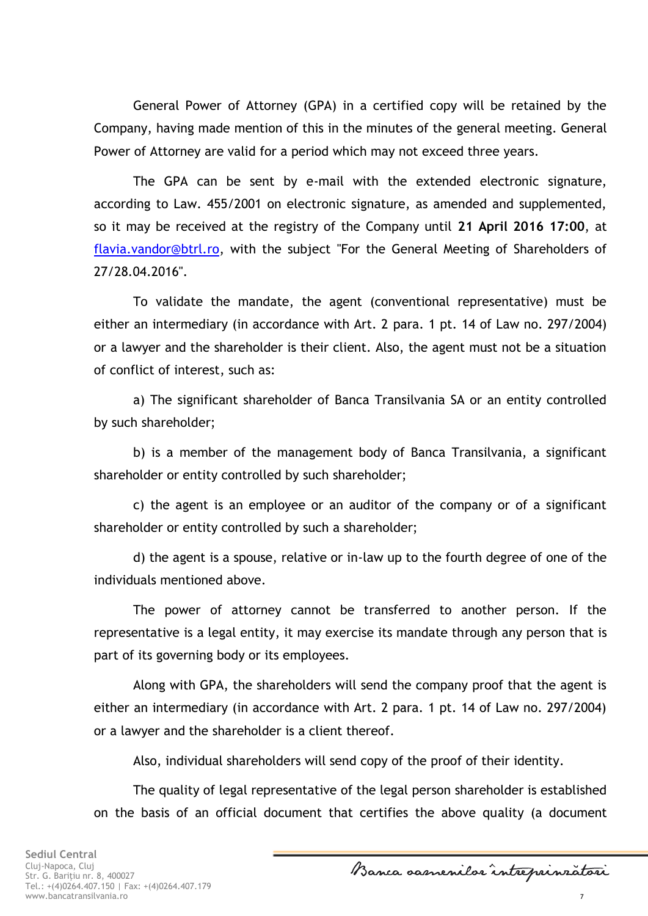General Power of Attorney (GPA) in a certified copy will be retained by the Company, having made mention of this in the minutes of the general meeting. General Power of Attorney are valid for a period which may not exceed three years.

The GPA can be sent by e-mail with the extended electronic signature, according to Law. 455/2001 on electronic signature, as amended and supplemented, so it may be received at the registry of the Company until **21 April 2016 17:00**, at [flavia.vandor@btrl.ro,](mailto:flavia.vandor@btrl.ro) with the subject "For the General Meeting of Shareholders of 27/28.04.2016".

To validate the mandate, the agent (conventional representative) must be either an intermediary (in accordance with Art. 2 para. 1 pt. 14 of Law no. 297/2004) or a lawyer and the shareholder is their client. Also, the agent must not be a situation of conflict of interest, such as:

a) The significant shareholder of Banca Transilvania SA or an entity controlled by such shareholder;

b) is a member of the management body of Banca Transilvania, a significant shareholder or entity controlled by such shareholder;

c) the agent is an employee or an auditor of the company or of a significant shareholder or entity controlled by such a shareholder;

d) the agent is a spouse, relative or in-law up to the fourth degree of one of the individuals mentioned above.

The power of attorney cannot be transferred to another person. If the representative is a legal entity, it may exercise its mandate through any person that is part of its governing body or its employees.

Along with GPA, the shareholders will send the company proof that the agent is either an intermediary (in accordance with Art. 2 para. 1 pt. 14 of Law no. 297/2004) or a lawyer and the shareholder is a client thereof.

Also, individual shareholders will send copy of the proof of their identity.

The quality of legal representative of the legal person shareholder is established on the basis of an official document that certifies the above quality (a document

Banca samenilar intreprinzatori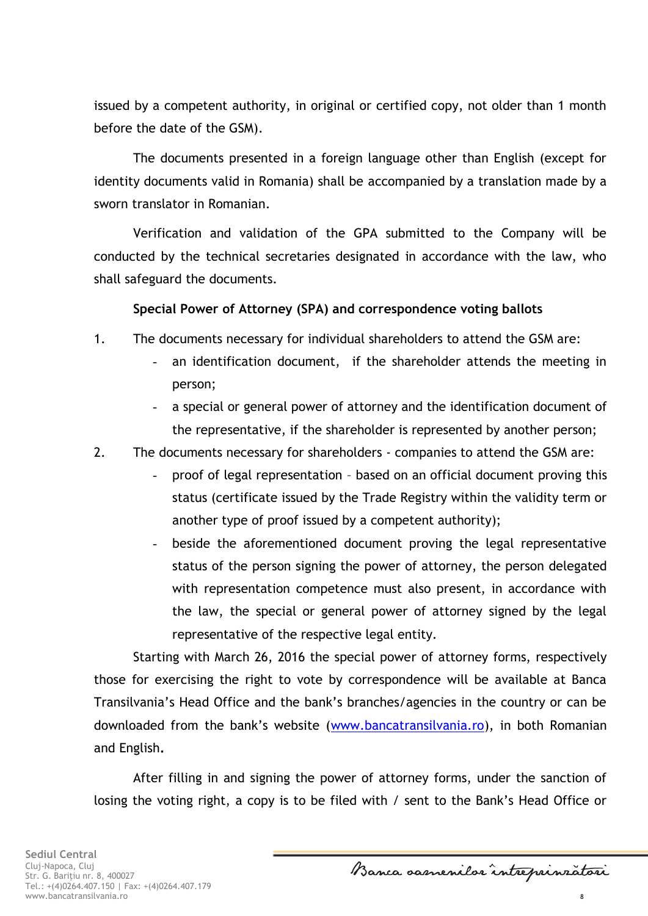issued by a competent authority, in original or certified copy, not older than 1 month before the date of the GSM).

The documents presented in a foreign language other than English (except for identity documents valid in Romania) shall be accompanied by a translation made by a sworn translator in Romanian.

Verification and validation of the GPA submitted to the Company will be conducted by the technical secretaries designated in accordance with the law, who shall safeguard the documents.

#### **Special Power of Attorney (SPA) and correspondence voting ballots**

- 1. The documents necessary for individual shareholders to attend the GSM are:
	- an identification document, if the shareholder attends the meeting in person;
	- a special or general power of attorney and the identification document of the representative, if the shareholder is represented by another person;
- 2. The documents necessary for shareholders companies to attend the GSM are:
	- proof of legal representation based on an official document proving this status (certificate issued by the Trade Registry within the validity term or another type of proof issued by a competent authority);
	- beside the aforementioned document proving the legal representative status of the person signing the power of attorney, the person delegated with representation competence must also present, in accordance with the law, the special or general power of attorney signed by the legal representative of the respective legal entity.

Starting with March 26, 2016 the special power of attorney forms, respectively those for exercising the right to vote by correspondence will be available at Banca Transilvania's Head Office and the bank's branches/agencies in the country or can be downloaded from the bank's website ([www.bancatransilvania.ro\)](http://www.bancatransilvania.ro/), in both Romanian and English**.**

After filling in and signing the power of attorney forms, under the sanction of losing the voting right, a copy is to be filed with / sent to the Bank's Head Office or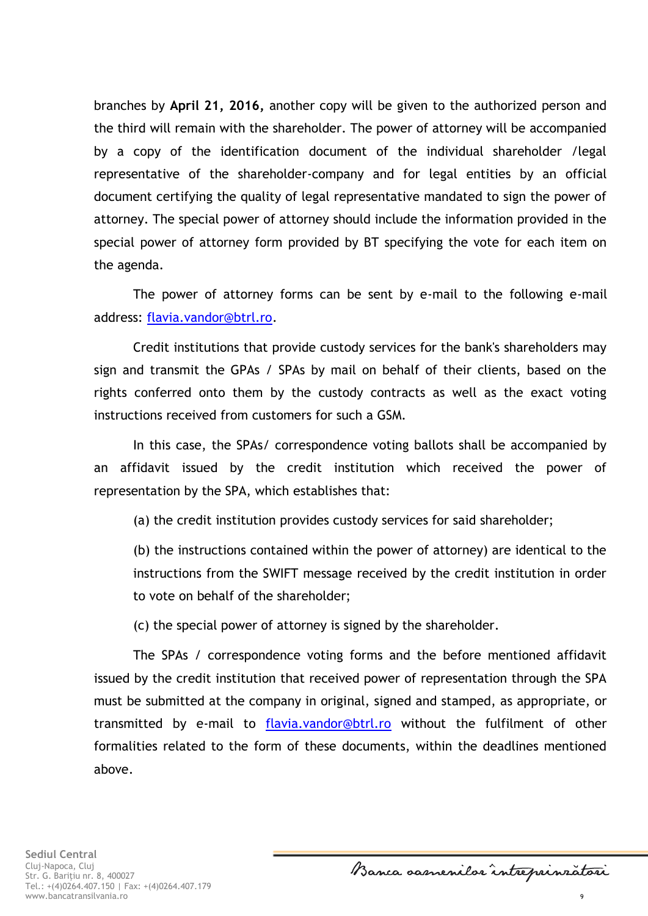branches by **April 21, 2016,** another copy will be given to the authorized person and the third will remain with the shareholder. The power of attorney will be accompanied by a copy of the identification document of the individual shareholder /legal representative of the shareholder-company and for legal entities by an official document certifying the quality of legal representative mandated to sign the power of attorney. The special power of attorney should include the information provided in the special power of attorney form provided by BT specifying the vote for each item on the agenda.

The power of attorney forms can be sent by e-mail to the following e-mail address: [flavia.vandor@btrl.ro.](mailto:flavia.vandor@btrl.ro)

Credit institutions that provide custody services for the bank's shareholders may sign and transmit the GPAs / SPAs by mail on behalf of their clients, based on the rights conferred onto them by the custody contracts as well as the exact voting instructions received from customers for such a GSM.

In this case, the SPAs/ correspondence voting ballots shall be accompanied by an affidavit issued by the credit institution which received the power of representation by the SPA, which establishes that:

(a) the credit institution provides custody services for said shareholder;

(b) the instructions contained within the power of attorney) are identical to the instructions from the SWIFT message received by the credit institution in order to vote on behalf of the shareholder;

(c) the special power of attorney is signed by the shareholder.

The SPAs / correspondence voting forms and the before mentioned affidavit issued by the credit institution that received power of representation through the SPA must be submitted at the company in original, signed and stamped, as appropriate, or transmitted by e-mail to [flavia.vandor@btrl.ro](mailto:flavia.vandor@btrl.ro) without the fulfilment of other formalities related to the form of these documents, within the deadlines mentioned above.

Banca samenilar intreprinzatori